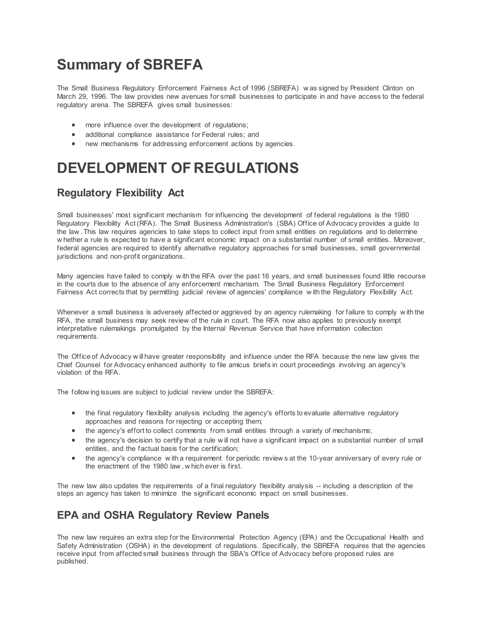# **Summary of SBREFA**

The Small Business Regulatory Enforcement Fairness Act of 1996 (SBREFA) w as signed by President Clinton on March 29, 1996. The law provides new avenues for small businesses to participate in and have access to the federal regulatory arena. The SBREFA gives small businesses:

- more influence over the development of regulations;
- additional compliance assistance for Federal rules; and
- new mechanisms for addressing enforcement actions by agencies.

# **DEVELOPMENT OF REGULATIONS**

## **Regulatory Flexibility Act**

Small businesses' most significant mechanism for influencing the development of federal regulations is the 1980 Regulatory Flexibility Act (RFA). The Small Business Administration's (SBA) Office of Advocacy provides a guide to the law . This law requires agencies to take steps to collect input from small entities on regulations and to determine w hether a rule is expected to have a significant economic impact on a substantial number of small entities. Moreover, federal agencies are required to identify alternative regulatory approaches for small businesses, small governmental jurisdictions and non-profit organizations.

Many agencies have failed to comply w ith the RFA over the past 16 years, and small businesses found little recourse in the courts due to the absence of any enforcement mechanism. The Small Business Regulatory Enforcement Fairness Act corrects that by permitting judicial review of agencies' compliance w ith the Regulatory Flexibility Act.

Whenever a small business is adversely affected or aggrieved by an agency rulemaking for failure to comply w ith the RFA, the small business may seek review of the rule in court. The RFA now also applies to previously exempt interpretative rulemakings promulgated by the Internal Revenue Service that have information collection requirements.

The Office of Advocacy w ill have greater responsibility and influence under the RFA because the new law gives the Chief Counsel for Advocacy enhanced authority to file amicus briefs in court proceedings involving an agency's violation of the RFA.

The follow ing issues are subject to judicial review under the SBREFA:

- the final regulatory flexibility analysis including the agency's efforts to evaluate alternative regulatory approaches and reasons for rejecting or accepting them;
- the agency's effort to collect comments from small entities through a variety of mechanisms;
- the agency's decision to certify that a rule w ill not have a significant impact on a substantial number of small entities, and the factual basis for the certification;
- the agency's compliance w ith a requirement for periodic review s at the 10-year anniversary of every rule or the enactment of the 1980 law , w hich ever is first.

The new law also updates the requirements of a final regulatory flexibility analysis -- including a description of the steps an agency has taken to minimize the significant economic impact on small businesses.

### **EPA and OSHA Regulatory Review Panels**

The new law requires an extra step for the Environmental Protection Agency (EPA) and the Occupational Health and Safety Administration (OSHA) in the development of regulations. Specifically, the SBREFA requires that the agencies receive input from affected small business through the SBA's Office of Advocacy before proposed rules are published.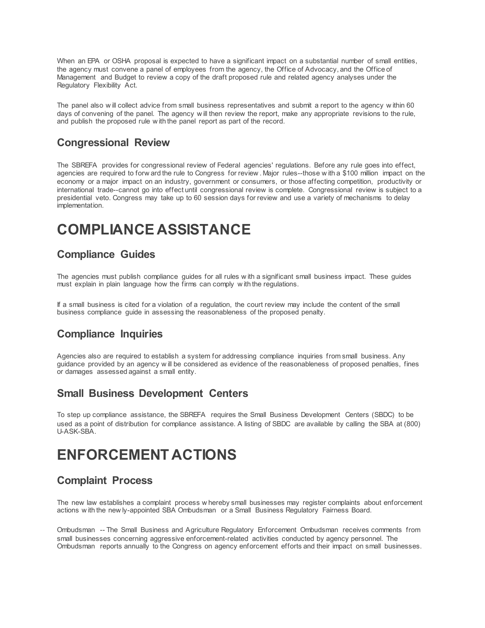When an EPA or OSHA proposal is expected to have a significant impact on a substantial number of small entities, the agency must convene a panel of employees from the agency, the Office of Advocacy, and the Office of Management and Budget to review a copy of the draft proposed rule and related agency analyses under the Regulatory Flexibility Act.

The panel also w ill collect advice from small business representatives and submit a report to the agency w ithin 60 days of convening of the panel. The agency w ill then review the report, make any appropriate revisions to the rule, and publish the proposed rule w ith the panel report as part of the record.

#### **Congressional Review**

The SBREFA provides for congressional review of Federal agencies' regulations. Before any rule goes into effect, agencies are required to forw ard the rule to Congress for review . Major rules--those w ith a \$100 million impact on the economy or a major impact on an industry, government or consumers, or those affecting competition, productivity or international trade--cannot go into effect until congressional review is complete. Congressional review is subject to a presidential veto. Congress may take up to 60 session days for review and use a variety of mechanisms to delay implementation.

# **COMPLIANCE ASSISTANCE**

#### **Compliance Guides**

The agencies must publish compliance guides for all rules w ith a significant small business impact. These guides must explain in plain language how the firms can comply w ith the regulations.

If a small business is cited for a violation of a regulation, the court review may include the content of the small business compliance guide in assessing the reasonableness of the proposed penalty.

### **Compliance Inquiries**

Agencies also are required to establish a system for addressing compliance inquiries from small business. Any guidance provided by an agency w ill be considered as evidence of the reasonableness of proposed penalties, fines or damages assessed against a small entity.

#### **Small Business Development Centers**

To step up compliance assistance, the SBREFA requires the Small Business Development Centers (SBDC) to be used as a point of distribution for compliance assistance. A listing of SBDC are available by calling the SBA at (800) U-ASK-SBA.

# **ENFORCEMENT ACTIONS**

### **Complaint Process**

The new law establishes a complaint process w hereby small businesses may register complaints about enforcement actions w ith the new ly-appointed SBA Ombudsman or a Small Business Regulatory Fairness Board.

Ombudsman -- The Small Business and Agriculture Regulatory Enforcement Ombudsman receives comments from small businesses concerning aggressive enforcement-related activities conducted by agency personnel. The Ombudsman reports annually to the Congress on agency enforcement efforts and their impact on small businesses.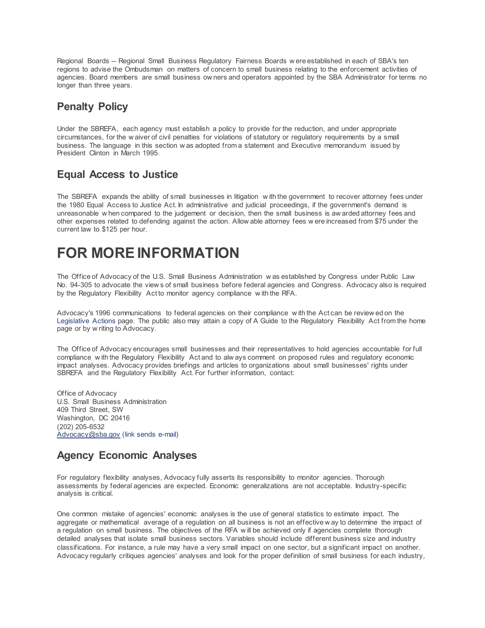Regional Boards -- Regional Small Business Regulatory Fairness Boards w ere established in each of SBA's ten regions to advise the Ombudsman on matters of concern to small business relating to the enforcement activities of agencies. Board members are small business ow ners and operators appointed by the SBA Administrator for terms no longer than three years.

### **Penalty Policy**

Under the SBREFA, each agency must establish a policy to provide for the reduction, and under appropriate circumstances, for the w aiver of civil penalties for violations of statutory or regulatory requirements by a small business. The language in this section w as adopted from a statement and Executive memorandum issued by President Clinton in March 1995.

#### **Equal Access to Justice**

The SBREFA expands the ability of small businesses in litigation w ith the government to recover attorney fees under the 1980 Equal Access to Justice Act. In administrative and judicial proceedings, if the government's demand is unreasonable w hen compared to the judgement or decision, then the small business is aw arded attorney fees and other expenses related to defending against the action. Allow able attorney fees w ere increased from \$75 under the current law to \$125 per hour.

# **FOR MORE INFORMATION**

The Office of Advocacy of the U.S. Small Business Administration w as established by Congress under Public Law No. 94-305 to advocate the view s of small business before federal agencies and Congress. Advocacy also is required by the Regulatory Flexibility Act to monitor agency compliance w ith the RFA.

Advocacy's 1996 communications to federal agencies on their compliance w ith the Act can be review ed on the [Legislative Actions](https://www.sba.gov/advocacy/814) page. The public also may attain a copy of A Guide to the Regulatory Flexibility Act from the home page or by w riting to Advocacy.

The Office of Advocacy encourages small businesses and their representatives to hold agencies accountable for full compliance w ith the Regulatory Flexibility Act and to alw ays comment on proposed rules and regulatory economic impact analyses. Advocacy provides briefings and articles to organizations about small businesses' rights under SBREFA and the Regulatory Flexibility Act. For further information, contact:

Office of Advocacy U.S. Small Business Administration 409 Third Street, SW Washington, DC 20416 (202) 205-6532 [Advocacy@sba.gov](mailto:Advocacy@sba.gov) (link sends e-mail)

### **Agency Economic Analyses**

For regulatory flexibility analyses, Advocacy fully asserts its responsibility to monitor agencies. Thorough assessments by federal agencies are expected. Economic generalizations are not acceptable. Industry-specific analysis is critical.

One common mistake of agencies' economic analyses is the use of general statistics to estimate impact. The aggregate or mathematical average of a regulation on all business is not an effective w ay to determine the impact of a regulation on small business. The objectives of the RFA w ill be achieved only if agencies complete thorough detailed analyses that isolate small business sectors. Variables should include different business size and industry classifications. For instance, a rule may have a very small impact on one sector, but a significant impact on another. Advocacy regularly critiques agencies' analyses and look for the proper definition of small business for each industry,